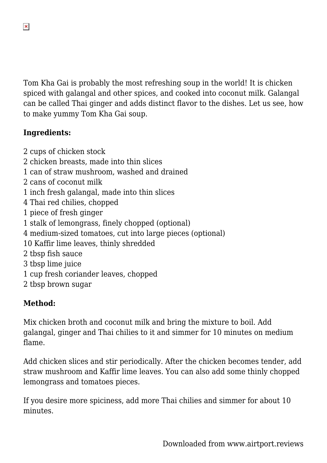Tom Kha Gai is probably the most refreshing soup in the world! It is chicken spiced with galangal and other spices, and cooked into coconut milk. Galangal can be called Thai ginger and adds distinct flavor to the dishes. Let us see, how to make yummy Tom Kha Gai soup.

## **Ingredients:**

 $\pmb{\times}$ 

2 cups of chicken stock

- 2 chicken breasts, made into thin slices
- 1 can of straw mushroom, washed and drained
- 2 cans of coconut milk
- 1 inch fresh galangal, made into thin slices
- 4 Thai red chilies, chopped
- 1 piece of fresh ginger
- 1 stalk of lemongrass, finely chopped (optional)
- 4 medium-sized tomatoes, cut into large pieces (optional)
- 10 Kaffir lime leaves, thinly shredded
- 2 tbsp fish sauce
- 3 tbsp lime juice
- 1 cup fresh coriander leaves, chopped
- 2 tbsp brown sugar

## **Method:**

Mix chicken broth and coconut milk and bring the mixture to boil. Add galangal, ginger and Thai chilies to it and simmer for 10 minutes on medium flame.

Add chicken slices and stir periodically. After the chicken becomes tender, add straw mushroom and Kaffir lime leaves. You can also add some thinly chopped lemongrass and tomatoes pieces.

If you desire more spiciness, add more Thai chilies and simmer for about 10 minutes.